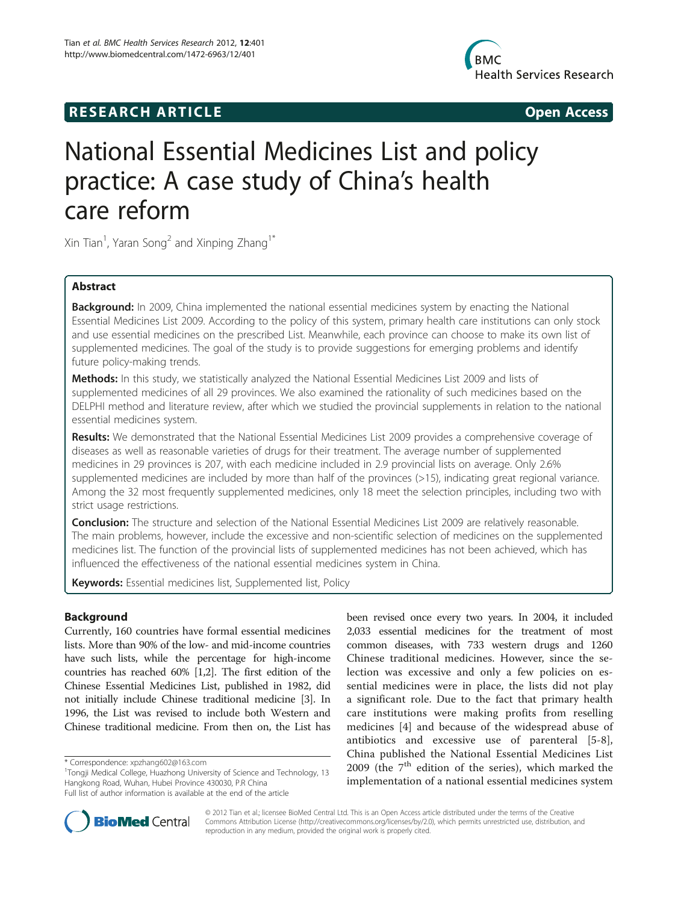## **RESEARCH ARTICLE Example 2014 The SEAR CH ACCESS**



# National Essential Medicines List and policy practice: A case study of China's health care reform

Xin Tian<sup>1</sup>, Yaran Song<sup>2</sup> and Xinping Zhang<sup>1\*</sup>

## Abstract

Background: In 2009, China implemented the national essential medicines system by enacting the National Essential Medicines List 2009. According to the policy of this system, primary health care institutions can only stock and use essential medicines on the prescribed List. Meanwhile, each province can choose to make its own list of supplemented medicines. The goal of the study is to provide suggestions for emerging problems and identify future policy-making trends.

Methods: In this study, we statistically analyzed the National Essential Medicines List 2009 and lists of supplemented medicines of all 29 provinces. We also examined the rationality of such medicines based on the DELPHI method and literature review, after which we studied the provincial supplements in relation to the national essential medicines system.

Results: We demonstrated that the National Essential Medicines List 2009 provides a comprehensive coverage of diseases as well as reasonable varieties of drugs for their treatment. The average number of supplemented medicines in 29 provinces is 207, with each medicine included in 2.9 provincial lists on average. Only 2.6% supplemented medicines are included by more than half of the provinces (>15), indicating great regional variance. Among the 32 most frequently supplemented medicines, only 18 meet the selection principles, including two with strict usage restrictions.

**Conclusion:** The structure and selection of the National Essential Medicines List 2009 are relatively reasonable. The main problems, however, include the excessive and non-scientific selection of medicines on the supplemented medicines list. The function of the provincial lists of supplemented medicines has not been achieved, which has influenced the effectiveness of the national essential medicines system in China.

Keywords: Essential medicines list, Supplemented list, Policy

## **Background**

Currently, 160 countries have formal essential medicines lists. More than 90% of the low- and mid-income countries have such lists, while the percentage for high-income countries has reached 60% [[1,2](#page-7-0)]. The first edition of the Chinese Essential Medicines List, published in 1982, did not initially include Chinese traditional medicine [\[3](#page-7-0)]. In 1996, the List was revised to include both Western and Chinese traditional medicine. From then on, the List has been revised once every two years. In 2004, it included 2,033 essential medicines for the treatment of most common diseases, with 733 western drugs and 1260 Chinese traditional medicines. However, since the selection was excessive and only a few policies on essential medicines were in place, the lists did not play a significant role. Due to the fact that primary health care institutions were making profits from reselling medicines [[4\]](#page-7-0) and because of the widespread abuse of antibiotics and excessive use of parenteral [\[5-8](#page-7-0)], China published the National Essential Medicines List 2009 (the  $7<sup>th</sup>$  edition of the series), which marked the implementation of a national essential medicines system



© 2012 Tian et al.; licensee BioMed Central Ltd. This is an Open Access article distributed under the terms of the Creative Commons Attribution License [\(http://creativecommons.org/licenses/by/2.0\)](http://creativecommons.org/licenses/by/2.0), which permits unrestricted use, distribution, and reproduction in any medium, provided the original work is properly cited.

<sup>\*</sup> Correspondence: [xpzhang602@163.com](mailto:xpzhang602@163.com) <sup>1</sup>

<sup>&</sup>lt;sup>1</sup>Tongji Medical College, Huazhong University of Science and Technology, 13 Hangkong Road, Wuhan, Hubei Province 430030, P.R China

Full list of author information is available at the end of the article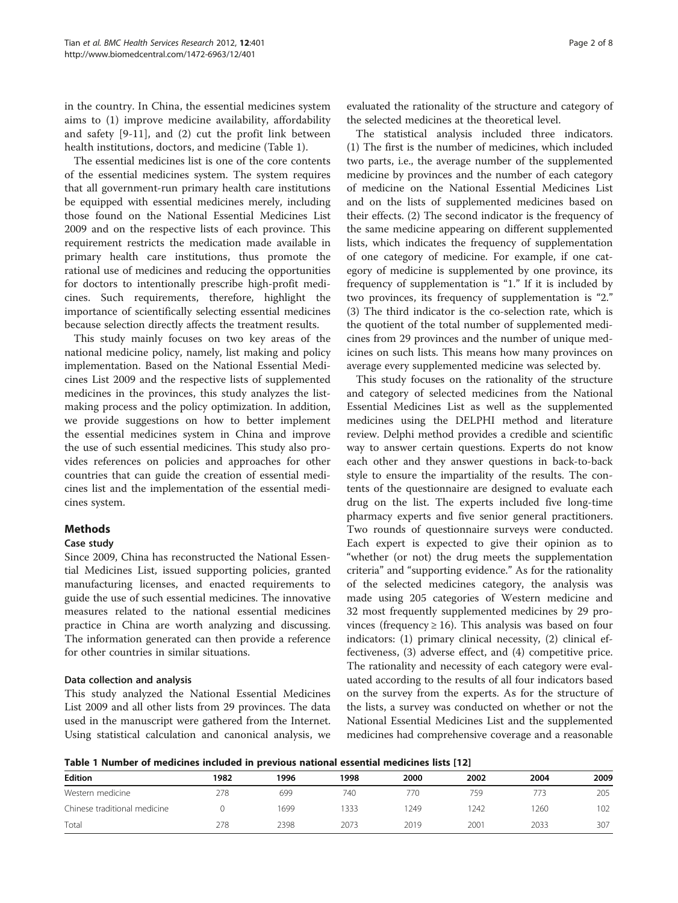in the country. In China, the essential medicines system aims to (1) improve medicine availability, affordability and safety [[9-11\]](#page-7-0), and (2) cut the profit link between health institutions, doctors, and medicine (Table 1).

The essential medicines list is one of the core contents of the essential medicines system. The system requires that all government-run primary health care institutions be equipped with essential medicines merely, including those found on the National Essential Medicines List 2009 and on the respective lists of each province. This requirement restricts the medication made available in primary health care institutions, thus promote the rational use of medicines and reducing the opportunities for doctors to intentionally prescribe high-profit medicines. Such requirements, therefore, highlight the importance of scientifically selecting essential medicines because selection directly affects the treatment results.

This study mainly focuses on two key areas of the national medicine policy, namely, list making and policy implementation. Based on the National Essential Medicines List 2009 and the respective lists of supplemented medicines in the provinces, this study analyzes the listmaking process and the policy optimization. In addition, we provide suggestions on how to better implement the essential medicines system in China and improve the use of such essential medicines. This study also provides references on policies and approaches for other countries that can guide the creation of essential medicines list and the implementation of the essential medicines system.

## Methods

#### Case study

Since 2009, China has reconstructed the National Essential Medicines List, issued supporting policies, granted manufacturing licenses, and enacted requirements to guide the use of such essential medicines. The innovative measures related to the national essential medicines practice in China are worth analyzing and discussing. The information generated can then provide a reference for other countries in similar situations.

#### Data collection and analysis

This study analyzed the National Essential Medicines List 2009 and all other lists from 29 provinces. The data used in the manuscript were gathered from the Internet. Using statistical calculation and canonical analysis, we evaluated the rationality of the structure and category of the selected medicines at the theoretical level.

The statistical analysis included three indicators. (1) The first is the number of medicines, which included two parts, i.e., the average number of the supplemented medicine by provinces and the number of each category of medicine on the National Essential Medicines List and on the lists of supplemented medicines based on their effects. (2) The second indicator is the frequency of the same medicine appearing on different supplemented lists, which indicates the frequency of supplementation of one category of medicine. For example, if one category of medicine is supplemented by one province, its frequency of supplementation is "1." If it is included by two provinces, its frequency of supplementation is "2." (3) The third indicator is the co-selection rate, which is the quotient of the total number of supplemented medicines from 29 provinces and the number of unique medicines on such lists. This means how many provinces on average every supplemented medicine was selected by.

This study focuses on the rationality of the structure and category of selected medicines from the National Essential Medicines List as well as the supplemented medicines using the DELPHI method and literature review. Delphi method provides a credible and scientific way to answer certain questions. Experts do not know each other and they answer questions in back-to-back style to ensure the impartiality of the results. The contents of the questionnaire are designed to evaluate each drug on the list. The experts included five long-time pharmacy experts and five senior general practitioners. Two rounds of questionnaire surveys were conducted. Each expert is expected to give their opinion as to "whether (or not) the drug meets the supplementation criteria" and "supporting evidence." As for the rationality of the selected medicines category, the analysis was made using 205 categories of Western medicine and 32 most frequently supplemented medicines by 29 provinces (frequency  $\geq$  16). This analysis was based on four indicators: (1) primary clinical necessity, (2) clinical effectiveness, (3) adverse effect, and (4) competitive price. The rationality and necessity of each category were evaluated according to the results of all four indicators based on the survey from the experts. As for the structure of the lists, a survey was conducted on whether or not the National Essential Medicines List and the supplemented medicines had comprehensive coverage and a reasonable

Table 1 Number of medicines included in previous national essential medicines lists [\[12](#page-7-0)]

| <u>lable</u> I Number of medicines included in previous hational essential medicines hists [12] |      |      |      |      |      |      |      |
|-------------------------------------------------------------------------------------------------|------|------|------|------|------|------|------|
| Edition                                                                                         | 1982 | 1996 | 1998 | 2000 | 2002 | 2004 | 2009 |
| Western medicine                                                                                | 278  | 699  | 740  | 770  | 759  |      | 205  |
| Chinese traditional medicine                                                                    |      | 1699 | 1333 | 249  | 242  | 1260 | 102  |
| Total                                                                                           | 278  | 2398 | 2073 | 2019 | 2001 | 2033 | 307  |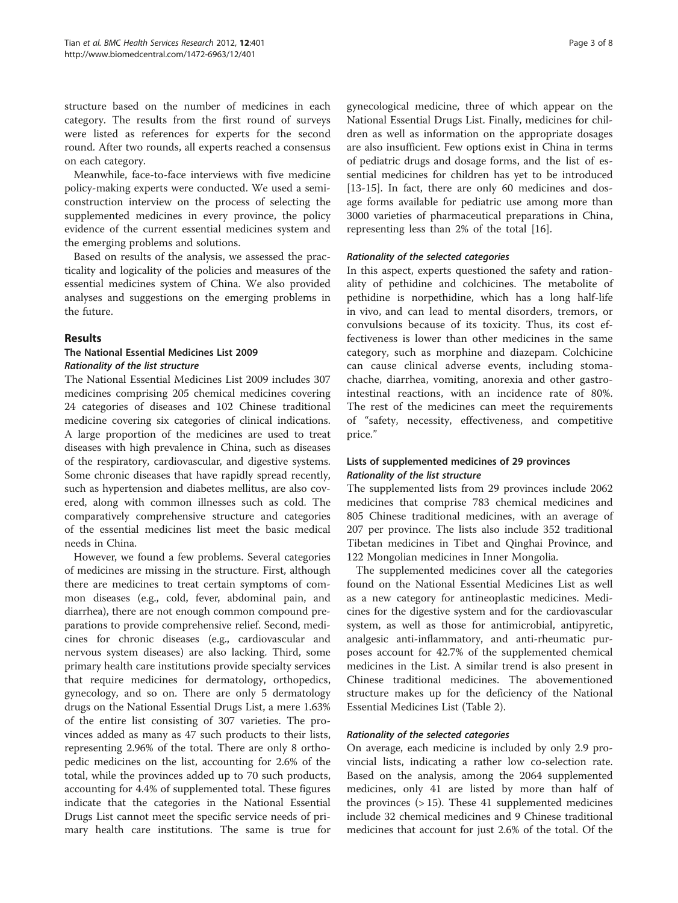structure based on the number of medicines in each category. The results from the first round of surveys were listed as references for experts for the second round. After two rounds, all experts reached a consensus on each category.

Meanwhile, face-to-face interviews with five medicine policy-making experts were conducted. We used a semiconstruction interview on the process of selecting the supplemented medicines in every province, the policy evidence of the current essential medicines system and the emerging problems and solutions.

Based on results of the analysis, we assessed the practicality and logicality of the policies and measures of the essential medicines system of China. We also provided analyses and suggestions on the emerging problems in the future.

#### Results

## The National Essential Medicines List 2009 Rationality of the list structure

The National Essential Medicines List 2009 includes 307 medicines comprising 205 chemical medicines covering 24 categories of diseases and 102 Chinese traditional medicine covering six categories of clinical indications. A large proportion of the medicines are used to treat diseases with high prevalence in China, such as diseases of the respiratory, cardiovascular, and digestive systems. Some chronic diseases that have rapidly spread recently, such as hypertension and diabetes mellitus, are also covered, along with common illnesses such as cold. The comparatively comprehensive structure and categories of the essential medicines list meet the basic medical needs in China.

However, we found a few problems. Several categories of medicines are missing in the structure. First, although there are medicines to treat certain symptoms of common diseases (e.g., cold, fever, abdominal pain, and diarrhea), there are not enough common compound preparations to provide comprehensive relief. Second, medicines for chronic diseases (e.g., cardiovascular and nervous system diseases) are also lacking. Third, some primary health care institutions provide specialty services that require medicines for dermatology, orthopedics, gynecology, and so on. There are only 5 dermatology drugs on the National Essential Drugs List, a mere 1.63% of the entire list consisting of 307 varieties. The provinces added as many as 47 such products to their lists, representing 2.96% of the total. There are only 8 orthopedic medicines on the list, accounting for 2.6% of the total, while the provinces added up to 70 such products, accounting for 4.4% of supplemented total. These figures indicate that the categories in the National Essential Drugs List cannot meet the specific service needs of primary health care institutions. The same is true for

gynecological medicine, three of which appear on the National Essential Drugs List. Finally, medicines for children as well as information on the appropriate dosages are also insufficient. Few options exist in China in terms of pediatric drugs and dosage forms, and the list of essential medicines for children has yet to be introduced [[13-15](#page-7-0)]. In fact, there are only 60 medicines and dosage forms available for pediatric use among more than 3000 varieties of pharmaceutical preparations in China, representing less than 2% of the total [[16\]](#page-7-0).

#### Rationality of the selected categories

In this aspect, experts questioned the safety and rationality of pethidine and colchicines. The metabolite of pethidine is norpethidine, which has a long half-life in vivo, and can lead to mental disorders, tremors, or convulsions because of its toxicity. Thus, its cost effectiveness is lower than other medicines in the same category, such as morphine and diazepam. Colchicine can cause clinical adverse events, including stomachache, diarrhea, vomiting, anorexia and other gastrointestinal reactions, with an incidence rate of 80%. The rest of the medicines can meet the requirements of "safety, necessity, effectiveness, and competitive price."

#### Lists of supplemented medicines of 29 provinces Rationality of the list structure

The supplemented lists from 29 provinces include 2062 medicines that comprise 783 chemical medicines and 805 Chinese traditional medicines, with an average of 207 per province. The lists also include 352 traditional Tibetan medicines in Tibet and Qinghai Province, and 122 Mongolian medicines in Inner Mongolia.

The supplemented medicines cover all the categories found on the National Essential Medicines List as well as a new category for antineoplastic medicines. Medicines for the digestive system and for the cardiovascular system, as well as those for antimicrobial, antipyretic, analgesic anti-inflammatory, and anti-rheumatic purposes account for 42.7% of the supplemented chemical medicines in the List. A similar trend is also present in Chinese traditional medicines. The abovementioned structure makes up for the deficiency of the National Essential Medicines List (Table [2](#page-3-0)).

#### Rationality of the selected categories

On average, each medicine is included by only 2.9 provincial lists, indicating a rather low co-selection rate. Based on the analysis, among the 2064 supplemented medicines, only 41 are listed by more than half of the provinces  $(>15)$ . These 41 supplemented medicines include 32 chemical medicines and 9 Chinese traditional medicines that account for just 2.6% of the total. Of the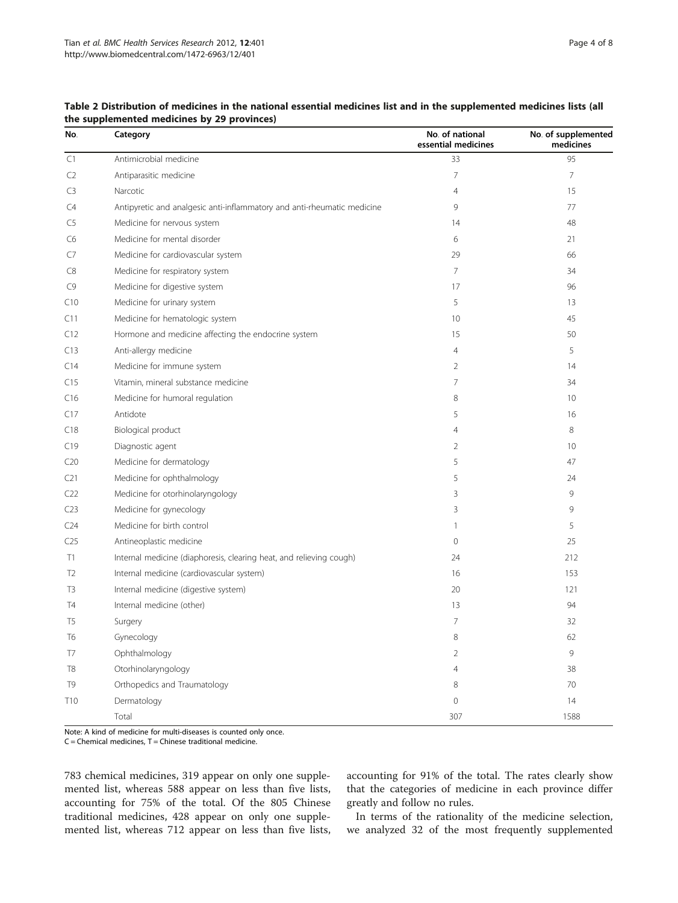| No.             | Category                                                                | No. of national<br>essential medicines | No. of supplemented<br>medicines |
|-----------------|-------------------------------------------------------------------------|----------------------------------------|----------------------------------|
| C1              | Antimicrobial medicine                                                  | 33                                     | 95                               |
| C <sub>2</sub>  | Antiparasitic medicine                                                  | 7                                      | 7                                |
| C3              | Narcotic                                                                | 4                                      | 15                               |
| C4              | Antipyretic and analgesic anti-inflammatory and anti-rheumatic medicine | 9                                      | 77                               |
| C <sub>5</sub>  | Medicine for nervous system                                             | 14                                     | 48                               |
| C6              | Medicine for mental disorder                                            | 6                                      | 21                               |
| C7              | Medicine for cardiovascular system                                      | 29                                     | 66                               |
| C8              | Medicine for respiratory system                                         | 7                                      | 34                               |
| C9              | Medicine for digestive system                                           | 17                                     | 96                               |
| C10             | Medicine for urinary system                                             | 5                                      | 13                               |
| C11             | Medicine for hematologic system                                         | 10                                     | 45                               |
| C12             | Hormone and medicine affecting the endocrine system                     | 15                                     | 50                               |
| C13             | Anti-allergy medicine                                                   | $\overline{4}$                         | 5                                |
| C14             | Medicine for immune system                                              | 2                                      | 14                               |
| C15             | Vitamin, mineral substance medicine                                     | 7                                      | 34                               |
| C16             | Medicine for humoral regulation                                         | 8                                      | 10                               |
| C17             | Antidote                                                                | 5                                      | 16                               |
| C18             | Biological product                                                      | 4                                      | 8                                |
| C19             | Diagnostic agent                                                        | 2                                      | 10                               |
| C20             | Medicine for dermatology                                                | 5                                      | 47                               |
| C21             | Medicine for ophthalmology                                              | 5                                      | 24                               |
| C22             | Medicine for otorhinolaryngology                                        | 3                                      | 9                                |
| C <sub>23</sub> | Medicine for gynecology                                                 | 3                                      | 9                                |
| C24             | Medicine for birth control                                              | 1                                      | 5                                |
| C <sub>25</sub> | Antineoplastic medicine                                                 | 0                                      | 25                               |
| T1              | Internal medicine (diaphoresis, clearing heat, and relieving cough)     | 24                                     | 212                              |
| T2              | Internal medicine (cardiovascular system)                               | 16                                     | 153                              |
| T3              | Internal medicine (digestive system)                                    | 20                                     | 121                              |
| <b>T4</b>       | Internal medicine (other)                                               | 13                                     | 94                               |
| T <sub>5</sub>  | Surgery                                                                 | 7                                      | 32                               |
| T <sub>6</sub>  | Gynecology                                                              | 8                                      | 62                               |
| T7              | Ophthalmology                                                           | 2                                      | 9                                |
| T <sub>8</sub>  | Otorhinolaryngology                                                     | 4                                      | 38                               |
| T9              | Orthopedics and Traumatology                                            | 8                                      | 70                               |
| T10             | Dermatology                                                             | $\mathsf{O}\xspace$                    | 14                               |
|                 | Total                                                                   | 307                                    | 1588                             |

<span id="page-3-0"></span>Table 2 Distribution of medicines in the national essential medicines list and in the supplemented medicines lists (all the supplemented medicines by 29 provinces)

Note: A kind of medicine for multi-diseases is counted only once.

 $C =$  Chemical medicines,  $T =$  Chinese traditional medicine.

783 chemical medicines, 319 appear on only one supplemented list, whereas 588 appear on less than five lists, accounting for 75% of the total. Of the 805 Chinese traditional medicines, 428 appear on only one supplemented list, whereas 712 appear on less than five lists, accounting for 91% of the total. The rates clearly show that the categories of medicine in each province differ greatly and follow no rules.

In terms of the rationality of the medicine selection, we analyzed 32 of the most frequently supplemented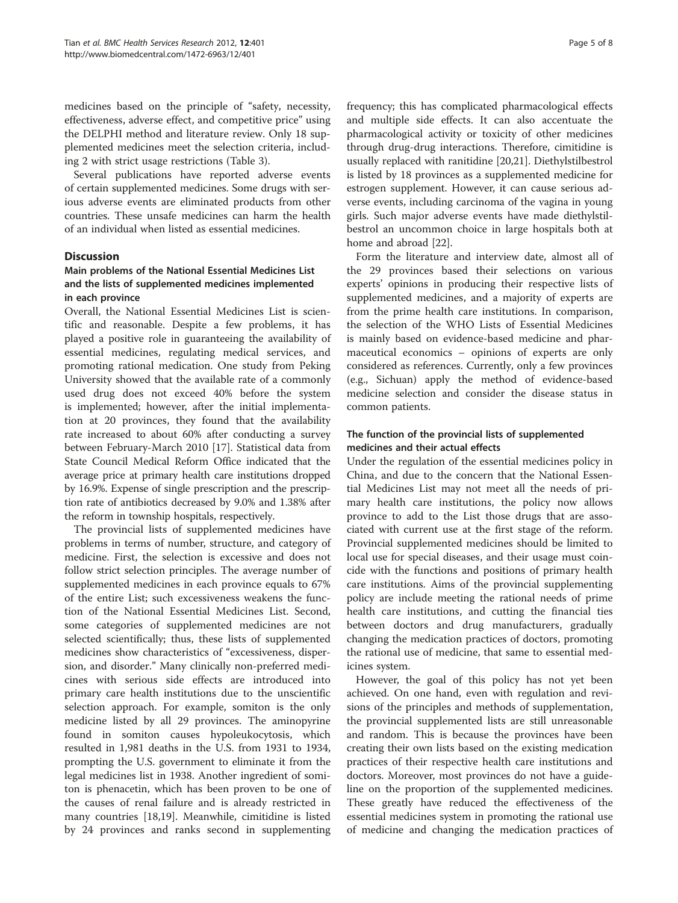medicines based on the principle of "safety, necessity, effectiveness, adverse effect, and competitive price" using the DELPHI method and literature review. Only 18 supplemented medicines meet the selection criteria, including 2 with strict usage restrictions (Table [3](#page-5-0)).

Several publications have reported adverse events of certain supplemented medicines. Some drugs with serious adverse events are eliminated products from other countries. These unsafe medicines can harm the health of an individual when listed as essential medicines.

#### **Discussion**

## Main problems of the National Essential Medicines List and the lists of supplemented medicines implemented in each province

Overall, the National Essential Medicines List is scientific and reasonable. Despite a few problems, it has played a positive role in guaranteeing the availability of essential medicines, regulating medical services, and promoting rational medication. One study from Peking University showed that the available rate of a commonly used drug does not exceed 40% before the system is implemented; however, after the initial implementation at 20 provinces, they found that the availability rate increased to about 60% after conducting a survey between February-March 2010 [[17](#page-7-0)]. Statistical data from State Council Medical Reform Office indicated that the average price at primary health care institutions dropped by 16.9%. Expense of single prescription and the prescription rate of antibiotics decreased by 9.0% and 1.38% after the reform in township hospitals, respectively.

The provincial lists of supplemented medicines have problems in terms of number, structure, and category of medicine. First, the selection is excessive and does not follow strict selection principles. The average number of supplemented medicines in each province equals to 67% of the entire List; such excessiveness weakens the function of the National Essential Medicines List. Second, some categories of supplemented medicines are not selected scientifically; thus, these lists of supplemented medicines show characteristics of "excessiveness, dispersion, and disorder." Many clinically non-preferred medicines with serious side effects are introduced into primary care health institutions due to the unscientific selection approach. For example, somiton is the only medicine listed by all 29 provinces. The aminopyrine found in somiton causes hypoleukocytosis, which resulted in 1,981 deaths in the U.S. from 1931 to 1934, prompting the U.S. government to eliminate it from the legal medicines list in 1938. Another ingredient of somiton is phenacetin, which has been proven to be one of the causes of renal failure and is already restricted in many countries [\[18,19\]](#page-7-0). Meanwhile, cimitidine is listed by 24 provinces and ranks second in supplementing

frequency; this has complicated pharmacological effects and multiple side effects. It can also accentuate the pharmacological activity or toxicity of other medicines through drug-drug interactions. Therefore, cimitidine is usually replaced with ranitidine [\[20,21\]](#page-7-0). Diethylstilbestrol is listed by 18 provinces as a supplemented medicine for estrogen supplement. However, it can cause serious adverse events, including carcinoma of the vagina in young girls. Such major adverse events have made diethylstilbestrol an uncommon choice in large hospitals both at home and abroad [[22](#page-7-0)].

Form the literature and interview date, almost all of the 29 provinces based their selections on various experts' opinions in producing their respective lists of supplemented medicines, and a majority of experts are from the prime health care institutions. In comparison, the selection of the WHO Lists of Essential Medicines is mainly based on evidence-based medicine and pharmaceutical economics – opinions of experts are only considered as references. Currently, only a few provinces (e.g., Sichuan) apply the method of evidence-based medicine selection and consider the disease status in common patients.

## The function of the provincial lists of supplemented medicines and their actual effects

Under the regulation of the essential medicines policy in China, and due to the concern that the National Essential Medicines List may not meet all the needs of primary health care institutions, the policy now allows province to add to the List those drugs that are associated with current use at the first stage of the reform. Provincial supplemented medicines should be limited to local use for special diseases, and their usage must coincide with the functions and positions of primary health care institutions. Aims of the provincial supplementing policy are include meeting the rational needs of prime health care institutions, and cutting the financial ties between doctors and drug manufacturers, gradually changing the medication practices of doctors, promoting the rational use of medicine, that same to essential medicines system.

However, the goal of this policy has not yet been achieved. On one hand, even with regulation and revisions of the principles and methods of supplementation, the provincial supplemented lists are still unreasonable and random. This is because the provinces have been creating their own lists based on the existing medication practices of their respective health care institutions and doctors. Moreover, most provinces do not have a guideline on the proportion of the supplemented medicines. These greatly have reduced the effectiveness of the essential medicines system in promoting the rational use of medicine and changing the medication practices of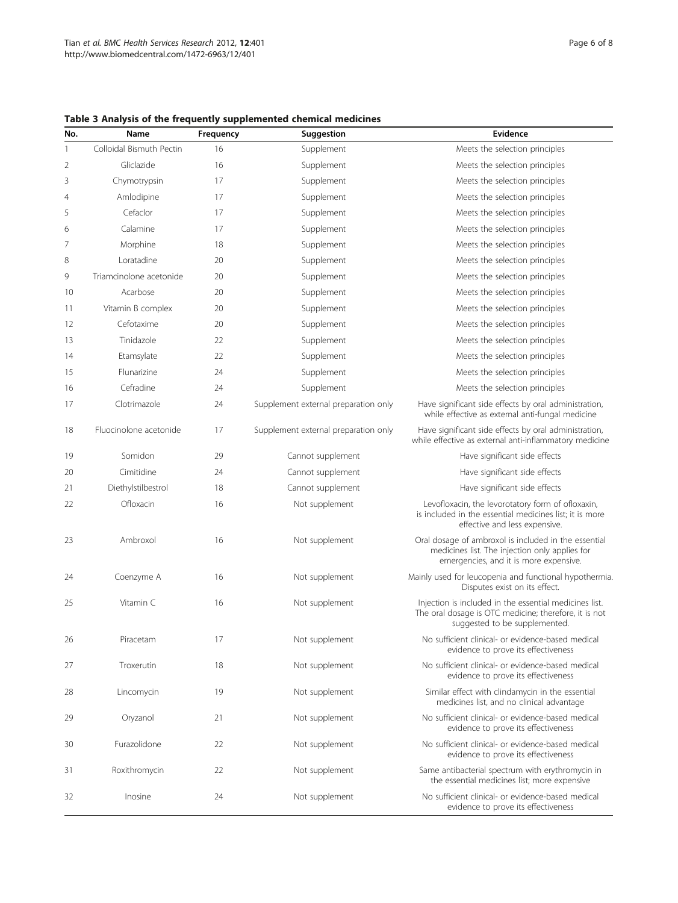<span id="page-5-0"></span>

| Table 3 Analysis of the frequently supplemented chemical medicines |  |
|--------------------------------------------------------------------|--|
|--------------------------------------------------------------------|--|

| No.            | Name                     | Frequency | Suggestion                           | Evidence                                                                                                                                         |
|----------------|--------------------------|-----------|--------------------------------------|--------------------------------------------------------------------------------------------------------------------------------------------------|
| 1              | Colloidal Bismuth Pectin | 16        | Supplement                           | Meets the selection principles                                                                                                                   |
| 2              | Gliclazide               | 16        | Supplement                           | Meets the selection principles                                                                                                                   |
| 3              | Chymotrypsin             | 17        | Supplement                           | Meets the selection principles                                                                                                                   |
| $\overline{4}$ | Amlodipine               | 17        | Supplement                           | Meets the selection principles                                                                                                                   |
| 5              | Cefaclor                 | 17        | Supplement                           | Meets the selection principles                                                                                                                   |
| 6              | Calamine                 | 17        | Supplement                           | Meets the selection principles                                                                                                                   |
| 7              | Morphine                 | 18        | Supplement                           | Meets the selection principles                                                                                                                   |
| 8              | Loratadine               | 20        | Supplement                           | Meets the selection principles                                                                                                                   |
| 9              | Triamcinolone acetonide  | 20        | Supplement                           | Meets the selection principles                                                                                                                   |
| 10             | Acarbose                 | 20        | Supplement                           | Meets the selection principles                                                                                                                   |
| 11             | Vitamin B complex        | 20        | Supplement                           | Meets the selection principles                                                                                                                   |
| 12             | Cefotaxime               | 20        | Supplement                           | Meets the selection principles                                                                                                                   |
| 13             | Tinidazole               | 22        | Supplement                           | Meets the selection principles                                                                                                                   |
| 14             | Etamsylate               | 22        | Supplement                           | Meets the selection principles                                                                                                                   |
| 15             | Flunarizine              | 24        | Supplement                           | Meets the selection principles                                                                                                                   |
| 16             | Cefradine                | 24        | Supplement                           | Meets the selection principles                                                                                                                   |
| 17             | Clotrimazole             | 24        | Supplement external preparation only | Have significant side effects by oral administration,<br>while effective as external anti-fungal medicine                                        |
| 18             | Fluocinolone acetonide   | 17        | Supplement external preparation only | Have significant side effects by oral administration,<br>while effective as external anti-inflammatory medicine                                  |
| 19             | Somidon                  | 29        | Cannot supplement                    | Have significant side effects                                                                                                                    |
| 20             | Cimitidine               | 24        | Cannot supplement                    | Have significant side effects                                                                                                                    |
| 21             | Diethylstilbestrol       | 18        | Cannot supplement                    | Have significant side effects                                                                                                                    |
| 22             | Ofloxacin                | 16        | Not supplement                       | Levofloxacin, the levorotatory form of ofloxaxin,<br>is included in the essential medicines list; it is more<br>effective and less expensive.    |
| 23             | Ambroxol                 | 16        | Not supplement                       | Oral dosage of ambroxol is included in the essential<br>medicines list. The injection only applies for<br>emergencies, and it is more expensive. |
| 24             | Coenzyme A               | 16        | Not supplement                       | Mainly used for leucopenia and functional hypothermia.<br>Disputes exist on its effect.                                                          |
| 25             | Vitamin C                | 16        | Not supplement                       | Injection is included in the essential medicines list.<br>The oral dosage is OTC medicine; therefore, it is not<br>suggested to be supplemented. |
| 26             | Piracetam                | 17        | Not supplement                       | No sufficient clinical- or evidence-based medical<br>evidence to prove its effectiveness                                                         |
| 27             | Troxerutin               | 18        | Not supplement                       | No sufficient clinical- or evidence-based medical<br>evidence to prove its effectiveness                                                         |
| 28             | Lincomycin               | 19        | Not supplement                       | Similar effect with clindamycin in the essential<br>medicines list, and no clinical advantage                                                    |
| 29             | Oryzanol                 | 21        | Not supplement                       | No sufficient clinical- or evidence-based medical<br>evidence to prove its effectiveness                                                         |
| 30             | Furazolidone             | 22        | Not supplement                       | No sufficient clinical- or evidence-based medical<br>evidence to prove its effectiveness                                                         |
| 31             | Roxithromycin            | 22        | Not supplement                       | Same antibacterial spectrum with erythromycin in<br>the essential medicines list; more expensive                                                 |
| 32             | Inosine                  | 24        | Not supplement                       | No sufficient clinical- or evidence-based medical<br>evidence to prove its effectiveness                                                         |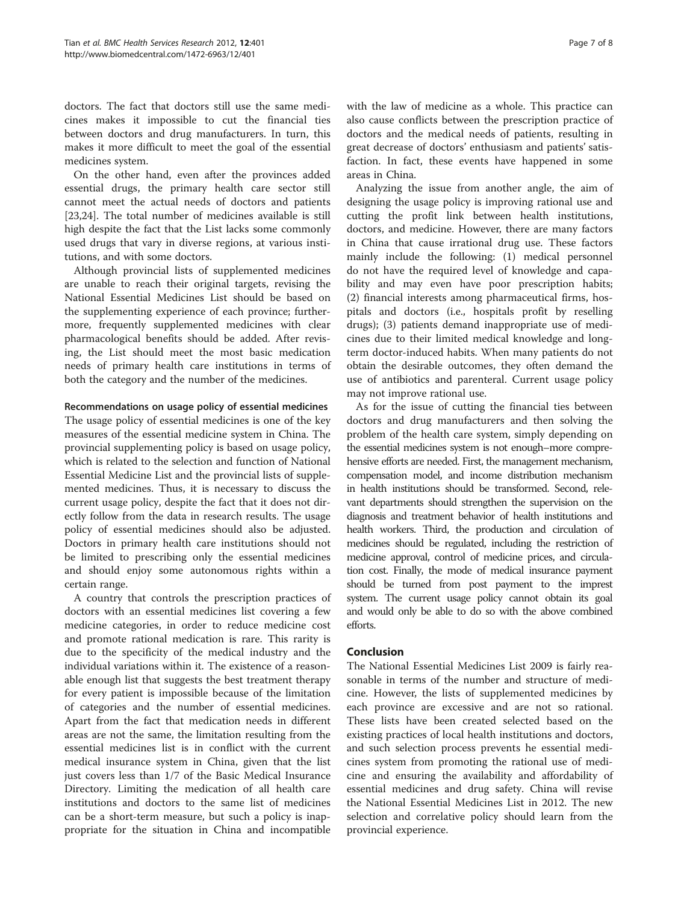doctors. The fact that doctors still use the same medicines makes it impossible to cut the financial ties between doctors and drug manufacturers. In turn, this makes it more difficult to meet the goal of the essential medicines system.

On the other hand, even after the provinces added essential drugs, the primary health care sector still cannot meet the actual needs of doctors and patients [[23,24\]](#page-7-0). The total number of medicines available is still high despite the fact that the List lacks some commonly used drugs that vary in diverse regions, at various institutions, and with some doctors.

Although provincial lists of supplemented medicines are unable to reach their original targets, revising the National Essential Medicines List should be based on the supplementing experience of each province; furthermore, frequently supplemented medicines with clear pharmacological benefits should be added. After revising, the List should meet the most basic medication needs of primary health care institutions in terms of both the category and the number of the medicines.

#### Recommendations on usage policy of essential medicines

The usage policy of essential medicines is one of the key measures of the essential medicine system in China. The provincial supplementing policy is based on usage policy, which is related to the selection and function of National Essential Medicine List and the provincial lists of supplemented medicines. Thus, it is necessary to discuss the current usage policy, despite the fact that it does not directly follow from the data in research results. The usage policy of essential medicines should also be adjusted. Doctors in primary health care institutions should not be limited to prescribing only the essential medicines and should enjoy some autonomous rights within a certain range.

A country that controls the prescription practices of doctors with an essential medicines list covering a few medicine categories, in order to reduce medicine cost and promote rational medication is rare. This rarity is due to the specificity of the medical industry and the individual variations within it. The existence of a reasonable enough list that suggests the best treatment therapy for every patient is impossible because of the limitation of categories and the number of essential medicines. Apart from the fact that medication needs in different areas are not the same, the limitation resulting from the essential medicines list is in conflict with the current medical insurance system in China, given that the list just covers less than 1/7 of the Basic Medical Insurance Directory. Limiting the medication of all health care institutions and doctors to the same list of medicines can be a short-term measure, but such a policy is inappropriate for the situation in China and incompatible with the law of medicine as a whole. This practice can also cause conflicts between the prescription practice of doctors and the medical needs of patients, resulting in great decrease of doctors' enthusiasm and patients' satisfaction. In fact, these events have happened in some

areas in China. Analyzing the issue from another angle, the aim of designing the usage policy is improving rational use and cutting the profit link between health institutions, doctors, and medicine. However, there are many factors in China that cause irrational drug use. These factors mainly include the following: (1) medical personnel do not have the required level of knowledge and capability and may even have poor prescription habits; (2) financial interests among pharmaceutical firms, hospitals and doctors (i.e., hospitals profit by reselling drugs); (3) patients demand inappropriate use of medicines due to their limited medical knowledge and longterm doctor-induced habits. When many patients do not obtain the desirable outcomes, they often demand the use of antibiotics and parenteral. Current usage policy may not improve rational use.

As for the issue of cutting the financial ties between doctors and drug manufacturers and then solving the problem of the health care system, simply depending on the essential medicines system is not enough–more comprehensive efforts are needed. First, the management mechanism, compensation model, and income distribution mechanism in health institutions should be transformed. Second, relevant departments should strengthen the supervision on the diagnosis and treatment behavior of health institutions and health workers. Third, the production and circulation of medicines should be regulated, including the restriction of medicine approval, control of medicine prices, and circulation cost. Finally, the mode of medical insurance payment should be turned from post payment to the imprest system. The current usage policy cannot obtain its goal and would only be able to do so with the above combined efforts.

#### Conclusion

The National Essential Medicines List 2009 is fairly reasonable in terms of the number and structure of medicine. However, the lists of supplemented medicines by each province are excessive and are not so rational. These lists have been created selected based on the existing practices of local health institutions and doctors, and such selection process prevents he essential medicines system from promoting the rational use of medicine and ensuring the availability and affordability of essential medicines and drug safety. China will revise the National Essential Medicines List in 2012. The new selection and correlative policy should learn from the provincial experience.